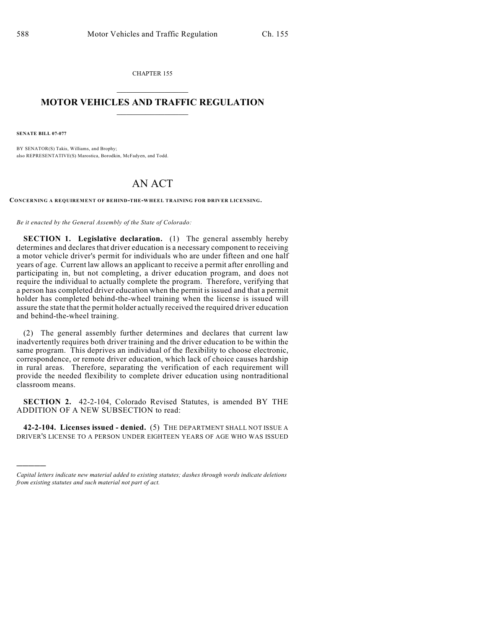CHAPTER 155  $\mathcal{L}_\text{max}$  . The set of the set of the set of the set of the set of the set of the set of the set of the set of the set of the set of the set of the set of the set of the set of the set of the set of the set of the set

## **MOTOR VEHICLES AND TRAFFIC REGULATION**  $\frac{1}{2}$  ,  $\frac{1}{2}$  ,  $\frac{1}{2}$  ,  $\frac{1}{2}$  ,  $\frac{1}{2}$  ,  $\frac{1}{2}$  ,  $\frac{1}{2}$  ,  $\frac{1}{2}$

**SENATE BILL 07-077**

)))))

BY SENATOR(S) Takis, Williams, and Brophy; also REPRESENTATIVE(S) Marostica, Borodkin, McFadyen, and Todd.

## AN ACT

**CONCERNING A REQUIREMENT OF BEHIND-THE-WHEEL TRAINING FOR DRIVER LICENSING.**

*Be it enacted by the General Assembly of the State of Colorado:*

**SECTION 1. Legislative declaration.** (1) The general assembly hereby determines and declares that driver education is a necessary component to receiving a motor vehicle driver's permit for individuals who are under fifteen and one half years of age. Current law allows an applicant to receive a permit after enrolling and participating in, but not completing, a driver education program, and does not require the individual to actually complete the program. Therefore, verifying that a person has completed driver education when the permit is issued and that a permit holder has completed behind-the-wheel training when the license is issued will assure the state that the permit holder actually received the required driver education and behind-the-wheel training.

(2) The general assembly further determines and declares that current law inadvertently requires both driver training and the driver education to be within the same program. This deprives an individual of the flexibility to choose electronic, correspondence, or remote driver education, which lack of choice causes hardship in rural areas. Therefore, separating the verification of each requirement will provide the needed flexibility to complete driver education using nontraditional classroom means.

**SECTION 2.** 42-2-104, Colorado Revised Statutes, is amended BY THE ADDITION OF A NEW SUBSECTION to read:

**42-2-104. Licenses issued - denied.** (5) THE DEPARTMENT SHALL NOT ISSUE A DRIVER'S LICENSE TO A PERSON UNDER EIGHTEEN YEARS OF AGE WHO WAS ISSUED

*Capital letters indicate new material added to existing statutes; dashes through words indicate deletions from existing statutes and such material not part of act.*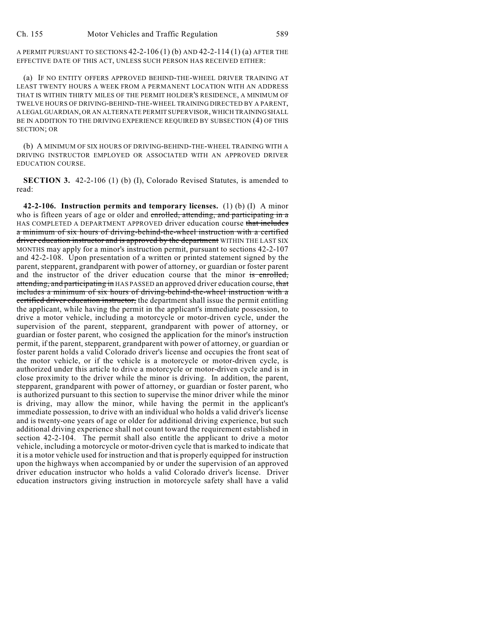A PERMIT PURSUANT TO SECTIONS 42-2-106 (1) (b) AND 42-2-114 (1) (a) AFTER THE EFFECTIVE DATE OF THIS ACT, UNLESS SUCH PERSON HAS RECEIVED EITHER:

(a) IF NO ENTITY OFFERS APPROVED BEHIND-THE-WHEEL DRIVER TRAINING AT LEAST TWENTY HOURS A WEEK FROM A PERMANENT LOCATION WITH AN ADDRESS THAT IS WITHIN THIRTY MILES OF THE PERMIT HOLDER'S RESIDENCE, A MINIMUM OF TWELVE HOURS OF DRIVING-BEHIND-THE-WHEEL TRAINING DIRECTED BY A PARENT, A LEGAL GUARDIAN, OR AN ALTERNATE PERMIT SUPERVISOR, WHICH TRAINING SHALL BE IN ADDITION TO THE DRIVING EXPERIENCE REQUIRED BY SUBSECTION (4) OF THIS SECTION; OR

(b) A MINIMUM OF SIX HOURS OF DRIVING-BEHIND-THE-WHEEL TRAINING WITH A DRIVING INSTRUCTOR EMPLOYED OR ASSOCIATED WITH AN APPROVED DRIVER EDUCATION COURSE.

**SECTION 3.** 42-2-106 (1) (b) (I), Colorado Revised Statutes, is amended to read:

**42-2-106. Instruction permits and temporary licenses.** (1) (b) (I) A minor who is fifteen years of age or older and enrolled, attending, and participating in a HAS COMPLETED A DEPARTMENT APPROVED driver education course that includes a minimum of six hours of driving-behind-the-wheel instruction with a certified driver education instructor and is approved by the department WITHIN THE LAST SIX MONTHS may apply for a minor's instruction permit, pursuant to sections 42-2-107 and 42-2-108. Upon presentation of a written or printed statement signed by the parent, stepparent, grandparent with power of attorney, or guardian or foster parent and the instructor of the driver education course that the minor is enrolled, attending, and participating in HAS PASSED an approved driver education course, that includes a minimum of six hours of driving-behind-the-wheel instruction with a certified driver education instructor, the department shall issue the permit entitling the applicant, while having the permit in the applicant's immediate possession, to drive a motor vehicle, including a motorcycle or motor-driven cycle, under the supervision of the parent, stepparent, grandparent with power of attorney, or guardian or foster parent, who cosigned the application for the minor's instruction permit, if the parent, stepparent, grandparent with power of attorney, or guardian or foster parent holds a valid Colorado driver's license and occupies the front seat of the motor vehicle, or if the vehicle is a motorcycle or motor-driven cycle, is authorized under this article to drive a motorcycle or motor-driven cycle and is in close proximity to the driver while the minor is driving. In addition, the parent, stepparent, grandparent with power of attorney, or guardian or foster parent, who is authorized pursuant to this section to supervise the minor driver while the minor is driving, may allow the minor, while having the permit in the applicant's immediate possession, to drive with an individual who holds a valid driver's license and is twenty-one years of age or older for additional driving experience, but such additional driving experience shall not count toward the requirement established in section 42-2-104. The permit shall also entitle the applicant to drive a motor vehicle, including a motorcycle or motor-driven cycle that is marked to indicate that it is a motor vehicle used for instruction and that is properly equipped for instruction upon the highways when accompanied by or under the supervision of an approved driver education instructor who holds a valid Colorado driver's license. Driver education instructors giving instruction in motorcycle safety shall have a valid